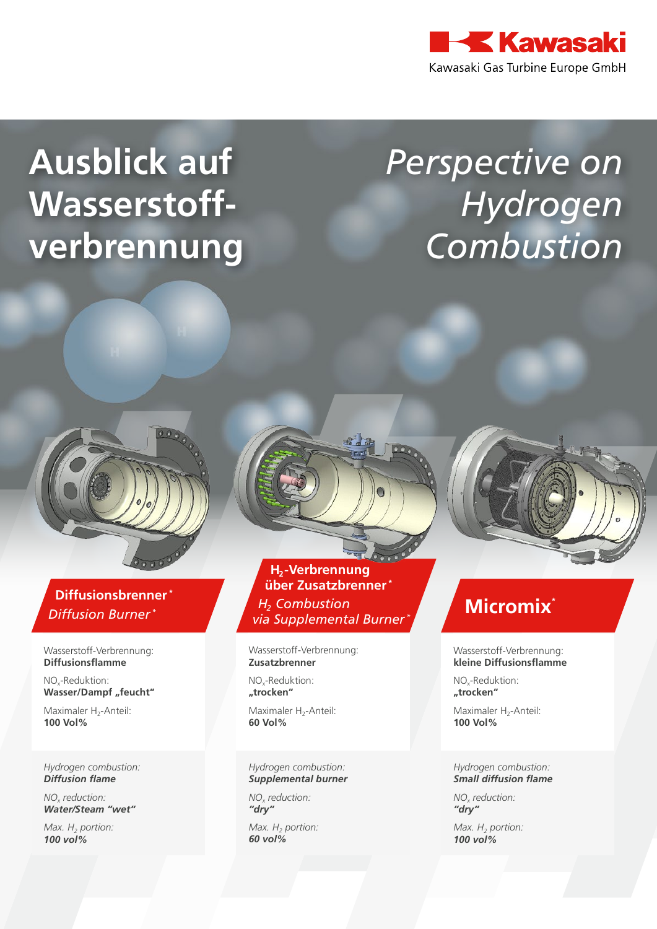

# **Ausblick auf Wasserstoffverbrennung**

# *Perspective on Hydrogen Combustion*

### **Diffusionsbrenner \*** *Diffusion Burner \**

Wasserstoff-Verbrennung: **Diffusionsflamme**

NOx-Reduktion: **Wasser/Dampf** "feucht"

Maximaler H<sub>2</sub>-Anteil: **100 Vol%**

*Hydrogen combustion: Diffusion flame*

*NOx reduction: Water/Steam "wet"*

*Max. H<sub>2</sub> portion: 100 vol%*

### **H<sub>2</sub>-Verbrennung über Zusatzbrenner \*** *H<sub>2</sub>* Combustion *via Supplemental Burner \**

Wasserstoff-Verbrennung: **Zusatzbrenner**

NOx-Reduktion: **"trocken"**

Maximaler H<sub>2</sub>-Anteil: **60 Vol%**

#### *Hydrogen combustion: Supplemental burner*

*NOx reduction: "dry"*

*Max. H<sub>2</sub> portion: 60 vol%*

## **Micromix\***

Wasserstoff-Verbrennung: **kleine Diffusionsflamme**

NO<sub>v</sub>-Reduktion: **"trocken"**

Maximaler H<sub>2</sub>-Anteil: **100 Vol%**

#### *Hydrogen combustion: Small diffusion flame*

*NOx reduction: "dry"*

*Max. H<sub>2</sub> portion: 100 vol%*